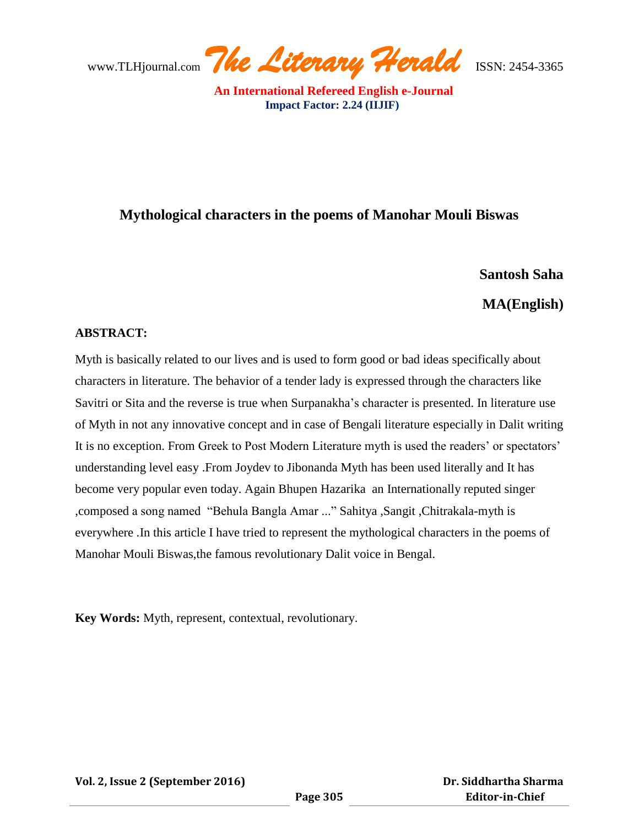www.TLHjournal.com *The Literary Herald*ISSN: 2454-3365

# **Mythological characters in the poems of Manohar Mouli Biswas**

## **Santosh Saha**

## **MA(English)**

#### **ABSTRACT:**

Myth is basically related to our lives and is used to form good or bad ideas specifically about characters in literature. The behavior of a tender lady is expressed through the characters like Savitri or Sita and the reverse is true when Surpanakha"s character is presented. In literature use of Myth in not any innovative concept and in case of Bengali literature especially in Dalit writing It is no exception. From Greek to Post Modern Literature myth is used the readers" or spectators" understanding level easy .From Joydev to Jibonanda Myth has been used literally and It has become very popular even today. Again Bhupen Hazarika an Internationally reputed singer ,composed a song named "Behula Bangla Amar ..." Sahitya ,Sangit ,Chitrakala-myth is everywhere .In this article I have tried to represent the mythological characters in the poems of Manohar Mouli Biswas,the famous revolutionary Dalit voice in Bengal.

**Key Words:** Myth, represent, contextual, revolutionary.

**Vol. 2, Issue 2 (September 2016)**

 **Dr. Siddhartha Sharma Editor-in-Chief**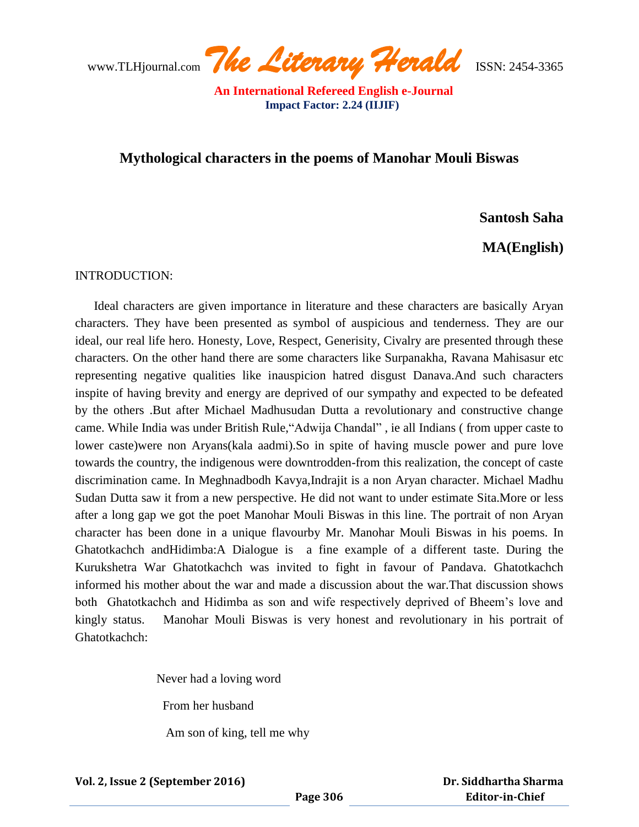www.TLHjournal.com *The Literary Herald*ISSN: 2454-3365

## **Mythological characters in the poems of Manohar Mouli Biswas**

### **Santosh Saha**

**MA(English)**

INTRODUCTION:

 Ideal characters are given importance in literature and these characters are basically Aryan characters. They have been presented as symbol of auspicious and tenderness. They are our ideal, our real life hero. Honesty, Love, Respect, Generisity, Civalry are presented through these characters. On the other hand there are some characters like Surpanakha, Ravana Mahisasur etc representing negative qualities like inauspicion hatred disgust Danava.And such characters inspite of having brevity and energy are deprived of our sympathy and expected to be defeated by the others .But after Michael Madhusudan Dutta a revolutionary and constructive change came. While India was under British Rule,"Adwija Chandal" , ie all Indians ( from upper caste to lower caste)were non Aryans(kala aadmi).So in spite of having muscle power and pure love towards the country, the indigenous were downtrodden-from this realization, the concept of caste discrimination came. In Meghnadbodh Kavya,Indrajit is a non Aryan character. Michael Madhu Sudan Dutta saw it from a new perspective. He did not want to under estimate Sita.More or less after a long gap we got the poet Manohar Mouli Biswas in this line. The portrait of non Aryan character has been done in a unique flavourby Mr. Manohar Mouli Biswas in his poems. In Ghatotkachch andHidimba:A Dialogue is a fine example of a different taste. During the Kurukshetra War Ghatotkachch was invited to fight in favour of Pandava. Ghatotkachch informed his mother about the war and made a discussion about the war.That discussion shows both Ghatotkachch and Hidimba as son and wife respectively deprived of Bheem"s love and kingly status. Manohar Mouli Biswas is very honest and revolutionary in his portrait of Ghatotkachch:

Never had a loving word

From her husband

Am son of king, tell me why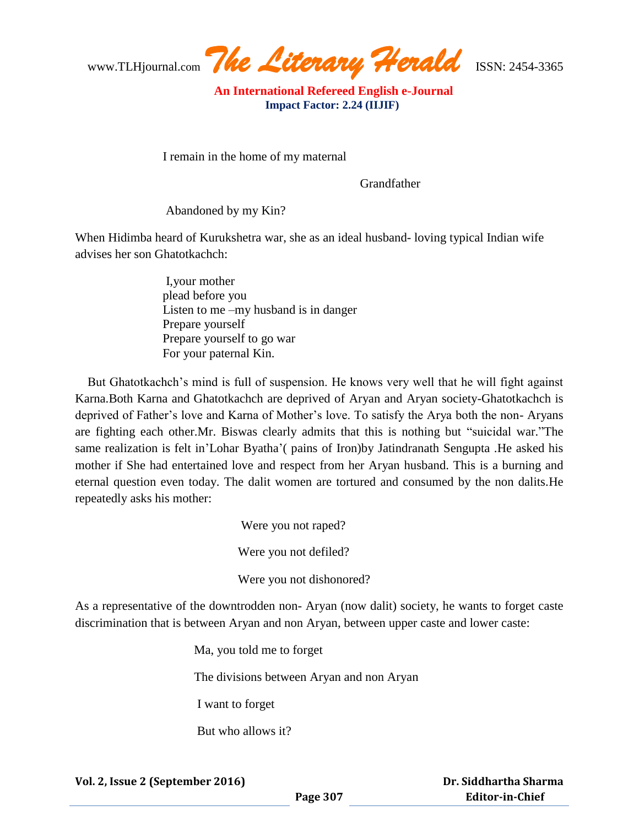www.TLHjournal.com *The Literary Herald*ISSN: 2454-3365

I remain in the home of my maternal

Grandfather

Abandoned by my Kin?

When Hidimba heard of Kurukshetra war, she as an ideal husband- loving typical Indian wife advises her son Ghatotkachch:

> I,your mother plead before you Listen to me –my husband is in danger Prepare yourself Prepare yourself to go war For your paternal Kin.

 But Ghatotkachch"s mind is full of suspension. He knows very well that he will fight against Karna.Both Karna and Ghatotkachch are deprived of Aryan and Aryan society-Ghatotkachch is deprived of Father's love and Karna of Mother's love. To satisfy the Arya both the non-Aryans are fighting each other.Mr. Biswas clearly admits that this is nothing but "suicidal war."The same realization is felt in'Lohar Byatha'( pains of Iron)by Jatindranath Sengupta .He asked his mother if She had entertained love and respect from her Aryan husband. This is a burning and eternal question even today. The dalit women are tortured and consumed by the non dalits.He repeatedly asks his mother:

> Were you not raped? Were you not defiled? Were you not dishonored?

As a representative of the downtrodden non- Aryan (now dalit) society, he wants to forget caste discrimination that is between Aryan and non Aryan, between upper caste and lower caste:

> Ma, you told me to forget The divisions between Aryan and non Aryan I want to forget But who allows it?

 **Dr. Siddhartha Sharma Editor-in-Chief**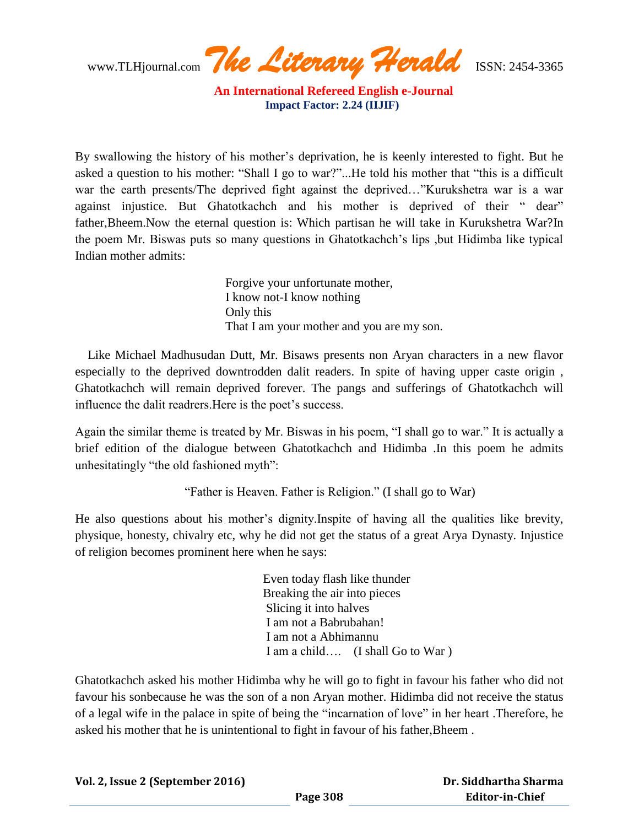www.TLHjournal.com *The Literary Herald*ISSN: 2454-3365

By swallowing the history of his mother's deprivation, he is keenly interested to fight. But he asked a question to his mother: "Shall I go to war?"...He told his mother that "this is a difficult war the earth presents/The deprived fight against the deprived…"Kurukshetra war is a war against injustice. But Ghatotkachch and his mother is deprived of their " dear" father,Bheem.Now the eternal question is: Which partisan he will take in Kurukshetra War?In the poem Mr. Biswas puts so many questions in Ghatotkachch"s lips ,but Hidimba like typical Indian mother admits:

> Forgive your unfortunate mother, I know not-I know nothing Only this That I am your mother and you are my son.

 Like Michael Madhusudan Dutt, Mr. Bisaws presents non Aryan characters in a new flavor especially to the deprived downtrodden dalit readers. In spite of having upper caste origin , Ghatotkachch will remain deprived forever. The pangs and sufferings of Ghatotkachch will influence the dalit readrers.Here is the poet"s success.

Again the similar theme is treated by Mr. Biswas in his poem, "I shall go to war." It is actually a brief edition of the dialogue between Ghatotkachch and Hidimba .In this poem he admits unhesitatingly "the old fashioned myth":

"Father is Heaven. Father is Religion." (I shall go to War)

He also questions about his mother"s dignity.Inspite of having all the qualities like brevity, physique, honesty, chivalry etc, why he did not get the status of a great Arya Dynasty. Injustice of religion becomes prominent here when he says:

> Even today flash like thunder Breaking the air into pieces Slicing it into halves I am not a Babrubahan! I am not a Abhimannu I am a child…. (I shall Go to War )

Ghatotkachch asked his mother Hidimba why he will go to fight in favour his father who did not favour his sonbecause he was the son of a non Aryan mother. Hidimba did not receive the status of a legal wife in the palace in spite of being the "incarnation of love" in her heart .Therefore, he asked his mother that he is unintentional to fight in favour of his father,Bheem .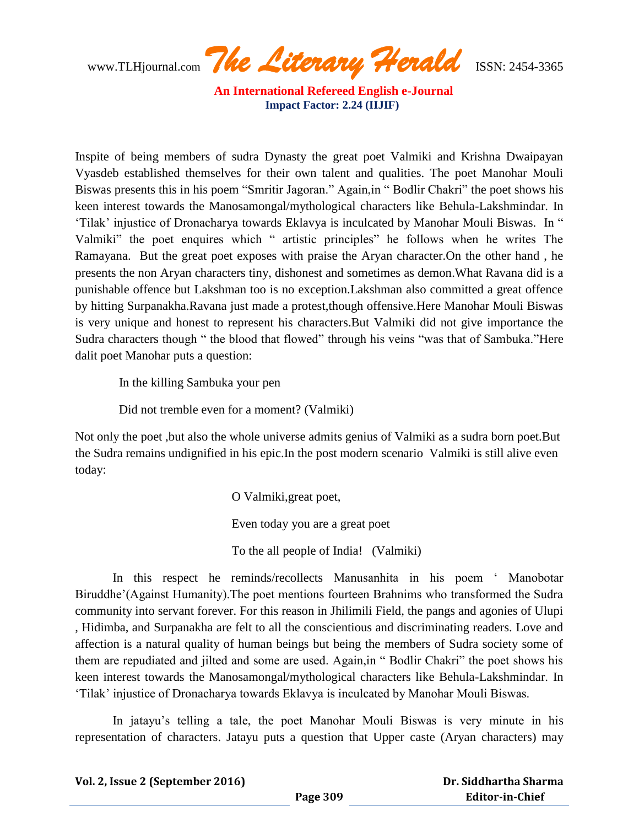www.TLHjournal.com *The Literary Herald*ISSN: 2454-3365

Inspite of being members of sudra Dynasty the great poet Valmiki and Krishna Dwaipayan Vyasdeb established themselves for their own talent and qualities. The poet Manohar Mouli Biswas presents this in his poem "Smritir Jagoran." Again,in " Bodlir Chakri" the poet shows his keen interest towards the Manosamongal/mythological characters like Behula-Lakshmindar. In "Tilak" injustice of Dronacharya towards Eklavya is inculcated by Manohar Mouli Biswas. In " Valmiki" the poet enquires which " artistic principles" he follows when he writes The Ramayana. But the great poet exposes with praise the Aryan character.On the other hand , he presents the non Aryan characters tiny, dishonest and sometimes as demon.What Ravana did is a punishable offence but Lakshman too is no exception.Lakshman also committed a great offence by hitting Surpanakha.Ravana just made a protest,though offensive.Here Manohar Mouli Biswas is very unique and honest to represent his characters.But Valmiki did not give importance the Sudra characters though " the blood that flowed" through his veins "was that of Sambuka."Here dalit poet Manohar puts a question:

In the killing Sambuka your pen

Did not tremble even for a moment? (Valmiki)

Not only the poet ,but also the whole universe admits genius of Valmiki as a sudra born poet.But the Sudra remains undignified in his epic.In the post modern scenario Valmiki is still alive even today:

> O Valmiki,great poet, Even today you are a great poet To the all people of India! (Valmiki)

 In this respect he reminds/recollects Manusanhita in his poem " Manobotar Biruddhe"(Against Humanity).The poet mentions fourteen Brahnims who transformed the Sudra community into servant forever. For this reason in Jhilimili Field, the pangs and agonies of Ulupi , Hidimba, and Surpanakha are felt to all the conscientious and discriminating readers. Love and affection is a natural quality of human beings but being the members of Sudra society some of them are repudiated and jilted and some are used. Again,in " Bodlir Chakri" the poet shows his keen interest towards the Manosamongal/mythological characters like Behula-Lakshmindar. In "Tilak" injustice of Dronacharya towards Eklavya is inculcated by Manohar Mouli Biswas.

In jatayu"s telling a tale, the poet Manohar Mouli Biswas is very minute in his representation of characters. Jatayu puts a question that Upper caste (Aryan characters) may

**Vol. 2, Issue 2 (September 2016)**

 **Dr. Siddhartha Sharma Editor-in-Chief**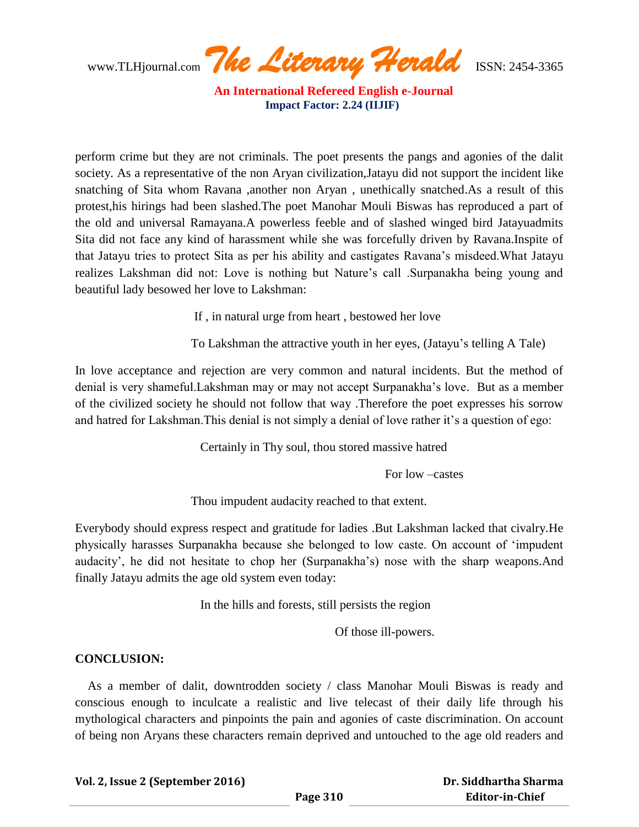www.TLHjournal.com *The Literary Herald*ISSN: 2454-3365

perform crime but they are not criminals. The poet presents the pangs and agonies of the dalit society. As a representative of the non Aryan civilization,Jatayu did not support the incident like snatching of Sita whom Ravana ,another non Aryan , unethically snatched.As a result of this protest,his hirings had been slashed.The poet Manohar Mouli Biswas has reproduced a part of the old and universal Ramayana.A powerless feeble and of slashed winged bird Jatayuadmits Sita did not face any kind of harassment while she was forcefully driven by Ravana.Inspite of that Jatayu tries to protect Sita as per his ability and castigates Ravana"s misdeed.What Jatayu realizes Lakshman did not: Love is nothing but Nature"s call .Surpanakha being young and beautiful lady besowed her love to Lakshman:

If , in natural urge from heart , bestowed her love

To Lakshman the attractive youth in her eyes, (Jatayu"s telling A Tale)

In love acceptance and rejection are very common and natural incidents. But the method of denial is very shameful.Lakshman may or may not accept Surpanakha"s love. But as a member of the civilized society he should not follow that way .Therefore the poet expresses his sorrow and hatred for Lakshman. This denial is not simply a denial of love rather it's a question of ego:

Certainly in Thy soul, thou stored massive hatred

For low –castes

Thou impudent audacity reached to that extent.

Everybody should express respect and gratitude for ladies .But Lakshman lacked that civalry.He physically harasses Surpanakha because she belonged to low caste. On account of "impudent audacity", he did not hesitate to chop her (Surpanakha"s) nose with the sharp weapons.And finally Jatayu admits the age old system even today:

In the hills and forests, still persists the region

Of those ill-powers.

#### **CONCLUSION:**

 As a member of dalit, downtrodden society / class Manohar Mouli Biswas is ready and conscious enough to inculcate a realistic and live telecast of their daily life through his mythological characters and pinpoints the pain and agonies of caste discrimination. On account of being non Aryans these characters remain deprived and untouched to the age old readers and